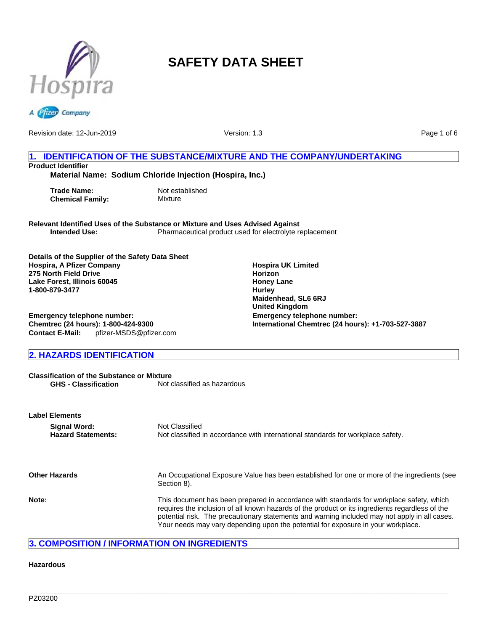



Revision date: 12-Jun-2019

Version: 1.3

Page 1 of 6

# **1. IDENTIFICATION OF THE SUBSTANCE/MIXTURE AND THE COMPANY/UNDERTAKING Product Identifier**

**Material Name: Sodium Chloride Injection (Hospira, Inc.)**

**Trade Name:** Not established<br> **Chemical Family:** Mixture **Chemical Family:** 

**Relevant Identified Uses of the Substance or Mixture and Uses Advised Against** Pharmaceutical product used for electrolyte replacement

**Details of the Supplier of the Safety Data Sheet Hospira, A Pfizer Company 275 North Field Drive Lake Forest, Illinois 60045 1-800-879-3477**

**Emergency telephone number: Chemtrec (24 hours): 1-800-424-9300 Contact E-Mail:** pfizer-MSDS@pfizer.com

# **2. HAZARDS IDENTIFICATION**

**Classification of the Substance or Mixture**<br>**GHS - Classification** Not of Not classified as hazardous

| <b>Label Elements</b>                     |                                                                                                                                                                                                                                                                                                                                                                                  |
|-------------------------------------------|----------------------------------------------------------------------------------------------------------------------------------------------------------------------------------------------------------------------------------------------------------------------------------------------------------------------------------------------------------------------------------|
| Signal Word:<br><b>Hazard Statements:</b> | Not Classified<br>Not classified in accordance with international standards for workplace safety.                                                                                                                                                                                                                                                                                |
| <b>Other Hazards</b>                      | An Occupational Exposure Value has been established for one or more of the ingredients (see<br>Section 8).                                                                                                                                                                                                                                                                       |
| Note:                                     | This document has been prepared in accordance with standards for workplace safety, which<br>requires the inclusion of all known hazards of the product or its ingredients regardless of the<br>potential risk. The precautionary statements and warning included may not apply in all cases.<br>Your needs may vary depending upon the potential for exposure in your workplace. |

**Emergency telephone number:**

**Hospira UK Limited**

**Maidenhead, SL6 6RJ United Kingdom**

**Horizon Honey Lane Hurley**

**International Chemtrec (24 hours): +1-703-527-3887**

**\_\_\_\_\_\_\_\_\_\_\_\_\_\_\_\_\_\_\_\_\_\_\_\_\_\_\_\_\_\_\_\_\_\_\_\_\_\_\_\_\_\_\_\_\_\_\_\_\_\_\_\_\_\_\_\_\_\_\_\_\_\_\_\_\_\_\_\_\_\_\_\_\_\_\_\_\_\_\_\_\_\_\_\_\_\_\_\_\_\_\_\_\_\_\_\_\_\_\_\_\_\_\_**

# **3. COMPOSITION / INFORMATION ON INGREDIENTS**

#### **Hazardous**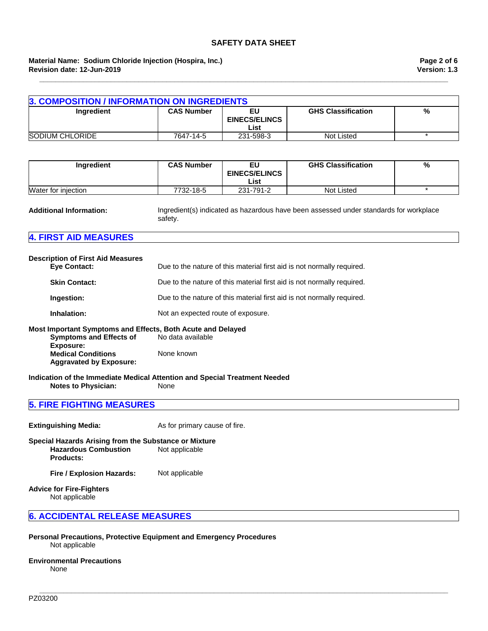### **Material Name: Sodium Chloride Injection (Hospira, Inc.) Revision date: 12-Jun-2019**

| <b>3. COMPOSITION / INFORMATION ON INGREDIENTS</b> |                   |                      |                           |   |
|----------------------------------------------------|-------------------|----------------------|---------------------------|---|
| Ingredient                                         | <b>CAS Number</b> | EU                   | <b>GHS Classification</b> | % |
|                                                    |                   | <b>EINECS/ELINCS</b> |                           |   |
|                                                    |                   | ∟ist                 |                           |   |
| SODIUM CHLORIDE                                    | 7647-14-5         | 231-598-3            | Not Listed                |   |

**\_\_\_\_\_\_\_\_\_\_\_\_\_\_\_\_\_\_\_\_\_\_\_\_\_\_\_\_\_\_\_\_\_\_\_\_\_\_\_\_\_\_\_\_\_\_\_\_\_\_\_\_\_\_\_\_\_\_\_\_\_\_\_\_\_\_\_\_\_\_\_\_\_\_\_\_\_\_\_\_\_\_\_\_\_\_\_\_\_\_\_\_\_\_\_\_\_\_\_\_\_\_\_**

| <b>Ingredient</b>   | <b>CAS Number</b> | ΕU<br><b>EINECS/ELINCS</b><br>List | <b>GHS Classification</b> | % |
|---------------------|-------------------|------------------------------------|---------------------------|---|
| Water for injection | 7732-18-5         | 231-791-2                          | Not Listed                |   |

**Additional Information:** Ingredient(s) indicated as hazardous have been assessed under standards for workplace safety.

**\_\_\_\_\_\_\_\_\_\_\_\_\_\_\_\_\_\_\_\_\_\_\_\_\_\_\_\_\_\_\_\_\_\_\_\_\_\_\_\_\_\_\_\_\_\_\_\_\_\_\_\_\_\_\_\_\_\_\_\_\_\_\_\_\_\_\_\_\_\_\_\_\_\_\_\_\_\_\_\_\_\_\_\_\_\_\_\_\_\_\_\_\_\_\_\_\_\_\_\_\_\_\_**

# **4. FIRST AID MEASURES**

| <b>Description of First Aid Measures</b><br><b>Eye Contact:</b> | Due to the nature of this material first aid is not normally required. |
|-----------------------------------------------------------------|------------------------------------------------------------------------|
| <b>Skin Contact:</b>                                            | Due to the nature of this material first aid is not normally required. |
| Ingestion:                                                      | Due to the nature of this material first aid is not normally required. |
| Inhalation:                                                     | Not an expected route of exposure.                                     |
|                                                                 |                                                                        |

#### **Most Important Symptoms and Effects, Both Acute and Delayed Symptoms and Effects of Exposure:** No data available **Medical Conditions Aggravated by Exposure:** None known

**Indication of the Immediate Medical Attention and Special Treatment Needed Notes to Physician:** None

### **5. FIRE FIGHTING MEASURES**

**Extinguishing Media:** As for primary cause of fire. **Special Hazards Arising from the Substance or Mixture Hazardous Combustion Products:** Not applicable

**Fire / Explosion Hazards:** Not applicable

**Advice for Fire-Fighters** Not applicable

### **6. ACCIDENTAL RELEASE MEASURES**

**Personal Precautions, Protective Equipment and Emergency Procedures** Not applicable

#### **Environmental Precautions** None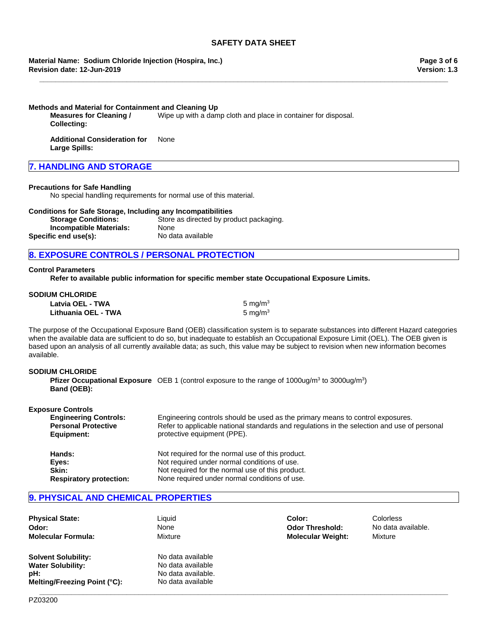**\_\_\_\_\_\_\_\_\_\_\_\_\_\_\_\_\_\_\_\_\_\_\_\_\_\_\_\_\_\_\_\_\_\_\_\_\_\_\_\_\_\_\_\_\_\_\_\_\_\_\_\_\_\_\_\_\_\_\_\_\_\_\_\_\_\_\_\_\_\_\_\_\_\_\_\_\_\_\_\_\_\_\_\_\_\_\_\_\_\_\_\_\_\_\_\_\_\_\_\_\_\_\_**

**Revision date: 12-Jun-2019 Material Name: Sodium Chloride Injection (Hospira, Inc.)**

#### **Methods and Material for Containment and Cleaning Up**

**Measures for Cleaning / Collecting:** Wipe up with a damp cloth and place in container for disposal.

**Additional Consideration for Large Spills:** None

# **7. HANDLING AND STORAGE**

#### **Precautions for Safe Handling**

No special handling requirements for normal use of this material.

### **Conditions for Safe Storage, Including any Incompatibilities**

**Storage Conditions:** Store as directed by product packaging. **Incompatible Materials:** None<br> **Incompatible Materials:** No data available Specific end use(s):

# **8. EXPOSURE CONTROLS / PERSONAL PROTECTION**

#### **Control Parameters**

**Refer to available public information for specific member state Occupational Exposure Limits.**

#### **SODIUM CHLORIDE**

| Latvia OEL - TWA    | 5 mg/ $m3$          |
|---------------------|---------------------|
| Lithuania OEL - TWA | 5 ma/m <sup>3</sup> |

The purpose of the Occupational Exposure Band (OEB) classification system is to separate substances into different Hazard categories when the available data are sufficient to do so, but inadequate to establish an Occupational Exposure Limit (OEL). The OEB given is based upon an analysis of all currently available data; as such, this value may be subject to revision when new information becomes available.

#### **SODIUM CHLORIDE**

**Pfizer Occupational Exposure** OEB 1 (control exposure to the range of 1000ug/m<sup>3</sup> to 3000ug/m<sup>3</sup>) **Band (OEB):**

| <b>Exposure Controls</b>                                                 |                                                                                                                                                                                                              |
|--------------------------------------------------------------------------|--------------------------------------------------------------------------------------------------------------------------------------------------------------------------------------------------------------|
| <b>Engineering Controls:</b><br><b>Personal Protective</b><br>Equipment: | Engineering controls should be used as the primary means to control exposures.<br>Refer to applicable national standards and regulations in the selection and use of personal<br>protective equipment (PPE). |
| Hands:                                                                   | Not required for the normal use of this product.                                                                                                                                                             |
| Eyes:                                                                    | Not required under normal conditions of use.                                                                                                                                                                 |
| Skin:                                                                    | Not required for the normal use of this product.                                                                                                                                                             |
| <b>Respiratory protection:</b>                                           | None required under normal conditions of use.                                                                                                                                                                |

### **9. PHYSICAL AND CHEMICAL PROPERTIES**

| <b>Physical State:</b>       | Liauid             | Color:                   | Colorless          |
|------------------------------|--------------------|--------------------------|--------------------|
| Odor:                        | None               | <b>Odor Threshold:</b>   | No data available. |
| <b>Molecular Formula:</b>    | Mixture            | <b>Molecular Weight:</b> | Mixture            |
| <b>Solvent Solubility:</b>   | No data available  |                          |                    |
| <b>Water Solubility:</b>     | No data available  |                          |                    |
| pH:                          | No data available. |                          |                    |
| Melting/Freezing Point (°C): | No data available  |                          |                    |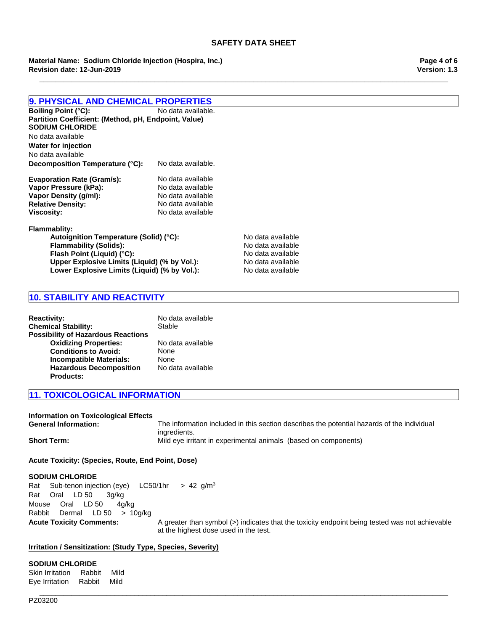**\_\_\_\_\_\_\_\_\_\_\_\_\_\_\_\_\_\_\_\_\_\_\_\_\_\_\_\_\_\_\_\_\_\_\_\_\_\_\_\_\_\_\_\_\_\_\_\_\_\_\_\_\_\_\_\_\_\_\_\_\_\_\_\_\_\_\_\_\_\_\_\_\_\_\_\_\_\_\_\_\_\_\_\_\_\_\_\_\_\_\_\_\_\_\_\_\_\_\_\_\_\_\_**

**Revision date: 12-Jun-2019 Material Name: Sodium Chloride Injection (Hospira, Inc.)**

**9. PHYSICAL AND CHEMICAL PROPERTIES**

**Version: 1.3 Page 4 of 6**

| <b>Boiling Point (°C):</b>                                                                                                                            | No data available. |                   |  |
|-------------------------------------------------------------------------------------------------------------------------------------------------------|--------------------|-------------------|--|
| Partition Coefficient: (Method, pH, Endpoint, Value)                                                                                                  |                    |                   |  |
| <b>SODIUM CHLORIDE</b>                                                                                                                                |                    |                   |  |
| No data available                                                                                                                                     |                    |                   |  |
| <b>Water for injection</b>                                                                                                                            |                    |                   |  |
| No data available                                                                                                                                     |                    |                   |  |
| Decomposition Temperature (°C):                                                                                                                       | No data available. |                   |  |
| <b>Evaporation Rate (Gram/s):</b>                                                                                                                     | No data available  |                   |  |
| Vapor Pressure (kPa):                                                                                                                                 | No data available  |                   |  |
| Vapor Density (q/ml):                                                                                                                                 | No data available  |                   |  |
| <b>Relative Density:</b>                                                                                                                              | No data available  |                   |  |
| <b>Viscosity:</b>                                                                                                                                     | No data available  |                   |  |
| <b>Flammablity:</b>                                                                                                                                   |                    |                   |  |
| Autoignition Temperature (Solid) (°C):<br><b>Flammability (Solids):</b><br>Flash Point (Liquid) (°C):<br>Upper Explosive Limits (Liquid) (% by Vol.): |                    | No data available |  |
|                                                                                                                                                       |                    | No data available |  |
|                                                                                                                                                       |                    | No data available |  |
|                                                                                                                                                       |                    | No data available |  |
| Lower Explosive Limits (Liquid) (% by Vol.):                                                                                                          |                    | No data available |  |

# **10. STABILITY AND REACTIVITY**

| <b>Reactivity:</b>                        | No data available |
|-------------------------------------------|-------------------|
| <b>Chemical Stability:</b>                | Stable            |
| <b>Possibility of Hazardous Reactions</b> |                   |
| <b>Oxidizing Properties:</b>              | No data available |
| <b>Conditions to Avoid:</b>               | None              |
| <b>Incompatible Materials:</b>            | None              |
| <b>Hazardous Decomposition</b>            | No data available |
| <b>Products:</b>                          |                   |

# **11. TOXICOLOGICAL INFORMATION**

| Information on Toxicological Effects |                                                                                                            |
|--------------------------------------|------------------------------------------------------------------------------------------------------------|
| <b>General Information:</b>          | The information included in this section describes the potential hazards of the individual<br>ingredients. |
| <b>Short Term:</b>                   | Mild eye irritant in experimental animals (based on components)                                            |

#### **Acute Toxicity: (Species, Route, End Point, Dose)**

#### **SODIUM CHLORIDE**

**Acute Toxicity Comments:** A greater than symbol (>) indicates that the toxicity endpoint being tested was not achievable at the highest dose used in the test. MouseOralLD 504g/kg RabbitDermalLD 50>10g/kg RatSub-tenon injection (eye)LC50/1hr >42g/m3 RatOralLD 503g/kg

# **Irritation / Sensitization: (Study Type, Species, Severity)**

# **SODIUM CHLORIDE**

Skin IrritationRabbitMild Eye IrritationRabbitMild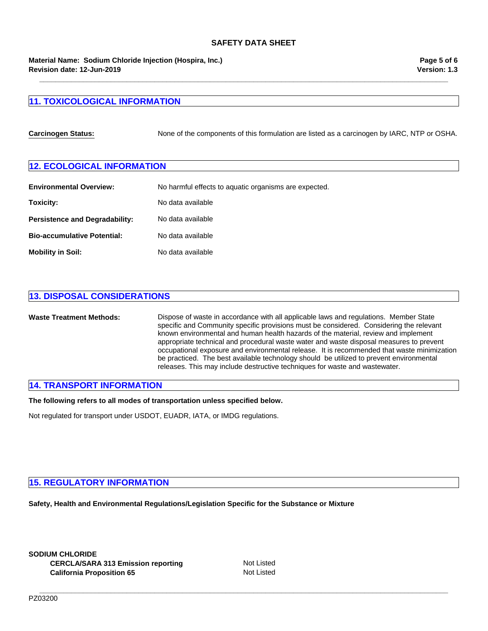**Revision date: 12-Jun-2019 Material Name: Sodium Chloride Injection (Hospira, Inc.)** **Version: 1.3 Page 5 of 6**

# **11. TOXICOLOGICAL INFORMATION**

**Carcinogen Status:** None of the components of this formulation are listed as a carcinogen by IARC, NTP or OSHA.

**\_\_\_\_\_\_\_\_\_\_\_\_\_\_\_\_\_\_\_\_\_\_\_\_\_\_\_\_\_\_\_\_\_\_\_\_\_\_\_\_\_\_\_\_\_\_\_\_\_\_\_\_\_\_\_\_\_\_\_\_\_\_\_\_\_\_\_\_\_\_\_\_\_\_\_\_\_\_\_\_\_\_\_\_\_\_\_\_\_\_\_\_\_\_\_\_\_\_\_\_\_\_\_**

# **12. ECOLOGICAL INFORMATION**

| <b>Environmental Overview:</b>        | No harmful effects to aquatic organisms are expected. |
|---------------------------------------|-------------------------------------------------------|
| Toxicity:                             | No data available                                     |
| <b>Persistence and Degradability:</b> | No data available                                     |
| <b>Bio-accumulative Potential:</b>    | No data available                                     |
| <b>Mobility in Soil:</b>              | No data available                                     |

# **13. DISPOSAL CONSIDERATIONS**

**Waste Treatment Methods:** Dispose of waste in accordance with all applicable laws and regulations. Member State specific and Community specific provisions must be considered. Considering the relevant known environmental and human health hazards of the material, review and implement appropriate technical and procedural waste water and waste disposal measures to prevent occupational exposure and environmental release. It is recommended that waste minimization be practiced. The best available technology should be utilized to prevent environmental releases. This may include destructive techniques for waste and wastewater.

# **14. TRANSPORT INFORMATION**

**The following refers to all modes of transportation unless specified below.**

Not regulated for transport under USDOT, EUADR, IATA, or IMDG regulations.

### **15. REGULATORY INFORMATION**

**Safety, Health and Environmental Regulations/Legislation Specific for the Substance or Mixture**

**CERCLA/SARA 313 Emission reporting Not Listed** Not Listed **California Proposition 65** Not Listed **SODIUM CHLORIDE**

**\_\_\_\_\_\_\_\_\_\_\_\_\_\_\_\_\_\_\_\_\_\_\_\_\_\_\_\_\_\_\_\_\_\_\_\_\_\_\_\_\_\_\_\_\_\_\_\_\_\_\_\_\_\_\_\_\_\_\_\_\_\_\_\_\_\_\_\_\_\_\_\_\_\_\_\_\_\_\_\_\_\_\_\_\_\_\_\_\_\_\_\_\_\_\_\_\_\_\_\_\_\_\_**